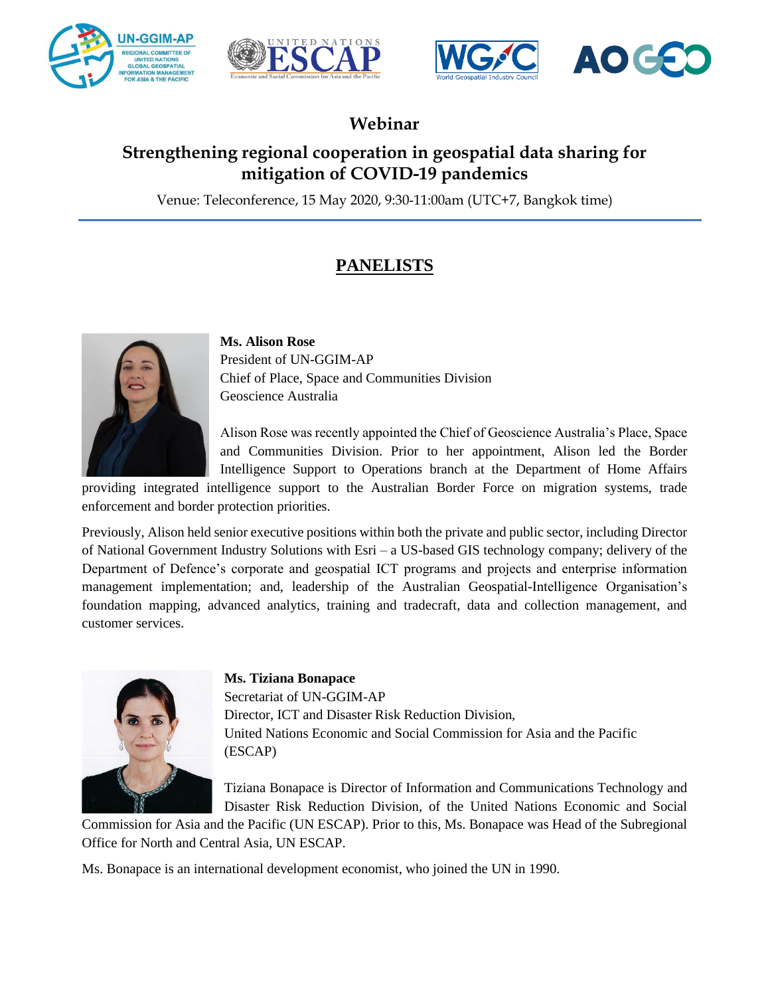





# **Webinar**

## **Strengthening regional cooperation in geospatial data sharing for mitigation of COVID-19 pandemics**

Venue: Teleconference, 15 May 2020, 9:30-11:00am (UTC+7, Bangkok time)

# **PANELISTS**



**Ms. Alison Rose** President of UN-GGIM-AP Chief of Place, Space and Communities Division Geoscience Australia

Alison Rose was recently appointed the Chief of Geoscience Australia's Place, Space and Communities Division. Prior to her appointment, Alison led the Border Intelligence Support to Operations branch at the Department of Home Affairs

providing integrated intelligence support to the Australian Border Force on migration systems, trade enforcement and border protection priorities.

Previously, Alison held senior executive positions within both the private and public sector, including Director of National Government Industry Solutions with Esri – a US-based GIS technology company; delivery of the Department of Defence's corporate and geospatial ICT programs and projects and enterprise information management implementation; and, leadership of the Australian Geospatial-Intelligence Organisation's foundation mapping, advanced analytics, training and tradecraft, data and collection management, and customer services.



### **Ms. Tiziana Bonapace**

Secretariat of UN-GGIM-AP Director, ICT and Disaster Risk Reduction Division, United Nations Economic and Social Commission for Asia and the Pacific (ESCAP)

Tiziana Bonapace is Director of Information and Communications Technology and Disaster Risk Reduction Division, of the United Nations Economic and Social

Commission for Asia and the Pacific (UN ESCAP). Prior to this, Ms. Bonapace was Head of the Subregional Office for North and Central Asia, UN ESCAP.

Ms. Bonapace is an international development economist, who joined the UN in 1990.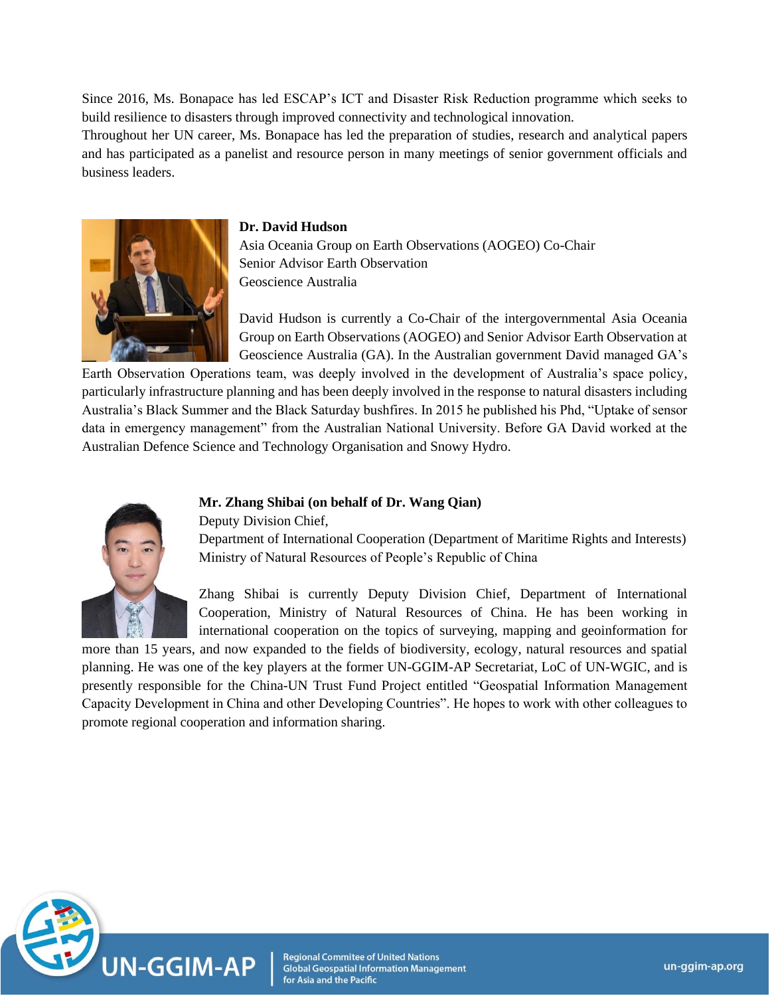Since 2016, Ms. Bonapace has led ESCAP's ICT and Disaster Risk Reduction programme which seeks to build resilience to disasters through improved connectivity and technological innovation.

Throughout her UN career, Ms. Bonapace has led the preparation of studies, research and analytical papers and has participated as a panelist and resource person in many meetings of senior government officials and business leaders.



#### **Dr. David Hudson**

Asia Oceania Group on Earth Observations (AOGEO) Co-Chair Senior Advisor Earth Observation Geoscience Australia

David Hudson is currently a Co-Chair of the intergovernmental Asia Oceania Group on Earth Observations (AOGEO) and Senior Advisor Earth Observation at Geoscience Australia (GA). In the Australian government David managed GA's

Earth Observation Operations team, was deeply involved in the development of Australia's space policy, particularly infrastructure planning and has been deeply involved in the response to natural disasters including Australia's Black Summer and the Black Saturday bushfires. In 2015 he published his Phd, "Uptake of sensor data in emergency management" from the Australian National University. Before GA David worked at the Australian Defence Science and Technology Organisation and Snowy Hydro.



## **Mr. Zhang Shibai (on behalf of Dr. Wang Qian)**

Deputy Division Chief,

Department of International Cooperation (Department of Maritime Rights and Interests) Ministry of Natural Resources of People's Republic of China

Zhang Shibai is currently Deputy Division Chief, Department of International Cooperation, Ministry of Natural Resources of China. He has been working in international cooperation on the topics of surveying, mapping and geoinformation for

more than 15 years, and now expanded to the fields of biodiversity, ecology, natural resources and spatial planning. He was one of the key players at the former UN-GGIM-AP Secretariat, LoC of UN-WGIC, and is presently responsible for the China-UN Trust Fund Project entitled "Geospatial Information Management Capacity Development in China and other Developing Countries". He hopes to work with other colleagues to promote regional cooperation and information sharing.



**Regional Commitee of United Nations Global Geospatial Information Management** for Asia and the Pacific